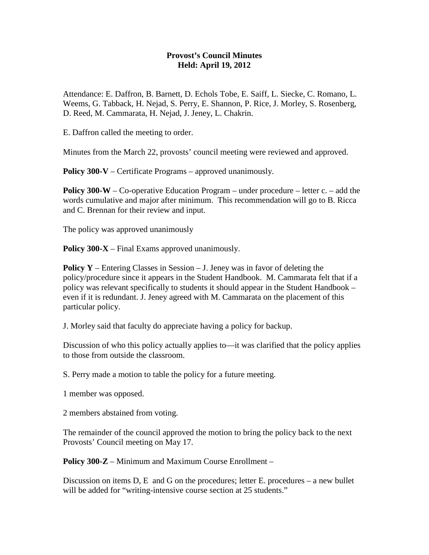## **Provost's Council Minutes Held: April 19, 2012**

Attendance: E. Daffron, B. Barnett, D. Echols Tobe, E. Saiff, L. Siecke, C. Romano, L. Weems, G. Tabback, H. Nejad, S. Perry, E. Shannon, P. Rice, J. Morley, S. Rosenberg, D. Reed, M. Cammarata, H. Nejad, J. Jeney, L. Chakrin.

E. Daffron called the meeting to order.

Minutes from the March 22, provosts' council meeting were reviewed and approved.

**Policy 300-V** – Certificate Programs – approved unanimously.

**Policy 300-W** – Co-operative Education Program – under procedure – letter c. – add the words cumulative and major after minimum. This recommendation will go to B. Ricca and C. Brennan for their review and input.

The policy was approved unanimously

**Policy 300-X** – Final Exams approved unanimously.

**Policy Y** – Entering Classes in Session – J. Jeney was in favor of deleting the policy/procedure since it appears in the Student Handbook. M. Cammarata felt that if a policy was relevant specifically to students it should appear in the Student Handbook – even if it is redundant. J. Jeney agreed with M. Cammarata on the placement of this particular policy.

J. Morley said that faculty do appreciate having a policy for backup.

Discussion of who this policy actually applies to—it was clarified that the policy applies to those from outside the classroom.

S. Perry made a motion to table the policy for a future meeting.

1 member was opposed.

2 members abstained from voting.

The remainder of the council approved the motion to bring the policy back to the next Provosts' Council meeting on May 17.

**Policy 300-Z** – Minimum and Maximum Course Enrollment –

Discussion on items  $D$ , E and G on the procedures; letter E. procedures – a new bullet will be added for "writing-intensive course section at 25 students."